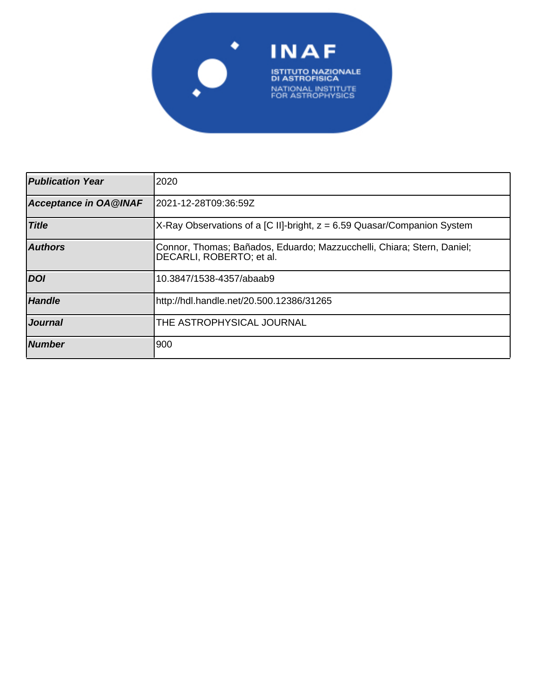

| <b>Publication Year</b> | 2020                                                                                               |
|-------------------------|----------------------------------------------------------------------------------------------------|
| Acceptance in OA@INAF   | l2021-12-28T09:36:59Z                                                                              |
| <b>Title</b>            | X-Ray Observations of a [C II]-bright, z = 6.59 Quasar/Companion System                            |
| <b>Authors</b>          | Connor, Thomas; Bañados, Eduardo; Mazzucchelli, Chiara; Stern, Daniel;<br>DECARLI, ROBERTO; et al. |
| <b>DOI</b>              | 10.3847/1538-4357/abaab9                                                                           |
| <b>Handle</b>           | http://hdl.handle.net/20.500.12386/31265                                                           |
| <i><b>Journal</b></i>   | THE ASTROPHYSICAL JOURNAL                                                                          |
| <b>Number</b>           | 900                                                                                                |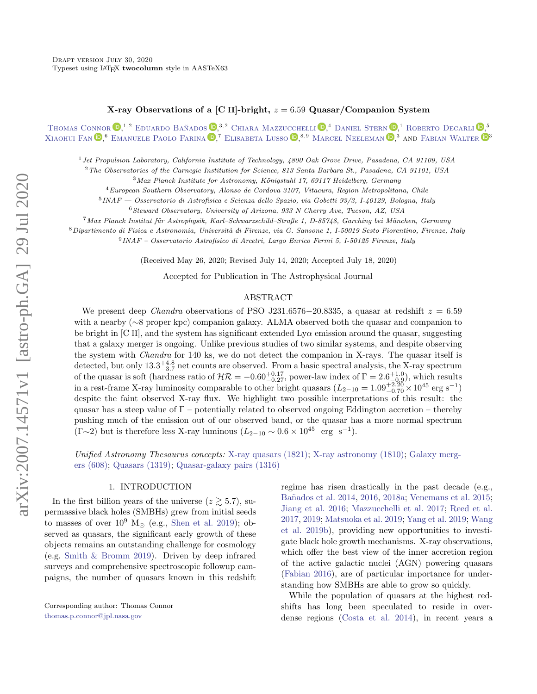# X-ray Observations of a [C II]-bright,  $z = 6.59$  Quasar/Companion System

[Thomas Connor](http://orcid.org/0000-0002-7898-7664)  $\mathbb{D}$ ,<sup>1,2</sup> Eduardo Bañados  $\mathbb{D}$ ,<sup>3,2</sup> [Chiara Mazzucchelli](http://orcid.org/0000-0002-5941-5214)  $\mathbb{D}$ ,<sup>4</sup> [Daniel Stern](http://orcid.org/0000-0003-2686-9241)  $\mathbb{D}$ ,<sup>1</sup> [Roberto Decarli](http://orcid.org/0000-0002-2662-8803)  $\mathbb{D}$ ,<sup>5</sup> [Xiaohui Fan](http://orcid.org/0000-0003-3310-0131)  $\mathbb{D}$ ,<sup>6</sup> [Emanuele Paolo Farina](http://orcid.org/0000-0002-6822-2254)  $\mathbb{D}$ ,<sup>7</sup> [Elisabeta Lusso](http://orcid.org/0000-0003-0083-1157)  $\mathbb{D}$ ,<sup>8,9</sup> [Marcel Neeleman](http://orcid.org/0000-0002-9838-8191)  $\mathbb{D}$ ,<sup>3</sup> and [Fabian Walter](http://orcid.org/0000-0003-4793-7880)  $\mathbb{D}$ <sup>3</sup>

<sup>1</sup>Jet Propulsion Laboratory, California Institute of Technology, 4800 Oak Grove Drive, Pasadena, CA 91109, USA

<sup>2</sup>The Observatories of the Carnegie Institution for Science, 813 Santa Barbara St., Pasadena, CA 91101, USA

 $3$ Max Planck Institute for Astronomy, Königstuhl 17, 69117 Heidelberg, Germany

<sup>4</sup>European Southern Observatory, Alonso de Cordova 3107, Vitacura, Region Metropolitana, Chile

5 INAF — Osservatorio di Astrofisica e Scienza dello Spazio, via Gobetti 93/3, I-40129, Bologna, Italy

<sup>6</sup>Steward Observatory, University of Arizona, 933 N Cherry Ave, Tucson, AZ, USA

 $7$ Max Planck Institut für Astrophysik, Karl–Schwarzschild–Straße 1, D-85748, Garching bei München, Germany

 $8$ Dipartimento di Fisica e Astronomia, Università di Firenze, via G. Sansone 1, I-50019 Sesto Fiorentino, Firenze, Italy

9 INAF – Osservatorio Astrofisico di Arcetri, Largo Enrico Fermi 5, I-50125 Firenze, Italy

(Received May 26, 2020; Revised July 14, 2020; Accepted July 18, 2020)

Accepted for Publication in The Astrophysical Journal

### ABSTRACT

We present deep *Chandra* observations of PSO J231.6576−20.8335, a quasar at redshift  $z = 6.59$ with a nearby (∼8 proper kpc) companion galaxy. ALMA observed both the quasar and companion to be bright in [C II], and the system has significant extended  $Ly\alpha$  emission around the quasar, suggesting that a galaxy merger is ongoing. Unlike previous studies of two similar systems, and despite observing the system with Chandra for 140 ks, we do not detect the companion in X-rays. The quasar itself is detected, but only  $13.3^{+4.8}_{-3.7}$  net counts are observed. From a basic spectral analysis, the X-ray spectrum of the quasar is soft (hardness ratio of  $\mathcal{HR} = -0.60_{-0.27}^{+0.17}$ , power-law index of  $\Gamma = 2.6_{-0.20}^{+1.0}$ ), which results in a rest-frame X-ray luminosity comparable to other bright quasars  $(L_{2-10} = 1.09_{-0.70}^{+2.20} \times 10^{45} \text{ erg s}^{-1})$ despite the faint observed X-ray flux. We highlight two possible interpretations of this result: the quasar has a steep value of  $\Gamma$  – potentially related to observed ongoing Eddington accretion – thereby pushing much of the emission out of our observed band, or the quasar has a more normal spectrum  $(\Gamma \sim 2)$  but is therefore less X-ray luminous  $(L_{2-10} \sim 0.6 \times 10^{45} \text{ erg s}^{-1}).$ 

Unified Astronomy Thesaurus concepts: [X-ray quasars \(1821\);](http://astrothesaurus.org/uat/1821) [X-ray astronomy \(1810\);](http://astrothesaurus.org/uat/1810) [Galaxy merg](http://astrothesaurus.org/uat/608)[ers \(608\);](http://astrothesaurus.org/uat/608) [Quasars \(1319\);](http://astrothesaurus.org/uat/1319) [Quasar-galaxy pairs \(1316\)](http://astrothesaurus.org/uat/1316)

## 1. INTRODUCTION

In the first billion years of the universe  $(z \gtrsim 5.7)$ , supermassive black holes (SMBHs) grew from initial seeds to masses of over  $10^9$  M<sub> $\odot$ </sub> (e.g., Shen et al. 2019); observed as quasars, the significant early growth of these objects remains an outstanding challenge for cosmology (e.g. Smith & Bromm 2019). Driven by deep infrared surveys and comprehensive spectroscopic followup campaigns, the number of quasars known in this redshift regime has risen drastically in the past decade (e.g., Ba˜nados et al. 2014, 2016, 2018a; Venemans et al. 2015; Jiang et al. 2016; Mazzucchelli et al. 2017; Reed et al. 2017, 2019; Matsuoka et al. 2019; Yang et al. 2019; Wang et al. 2019b), providing new opportunities to investigate black hole growth mechanisms. X-ray observations, which offer the best view of the inner accretion region of the active galactic nuclei (AGN) powering quasars (Fabian 2016), are of particular importance for understanding how SMBHs are able to grow so quickly.

While the population of quasars at the highest redshifts has long been speculated to reside in overdense regions (Costa et al. 2014), in recent years a

Corresponding author: Thomas Connor [thomas.p.connor@jpl.nasa.gov](mailto: thomas.p.connor@jpl.nasa.gov)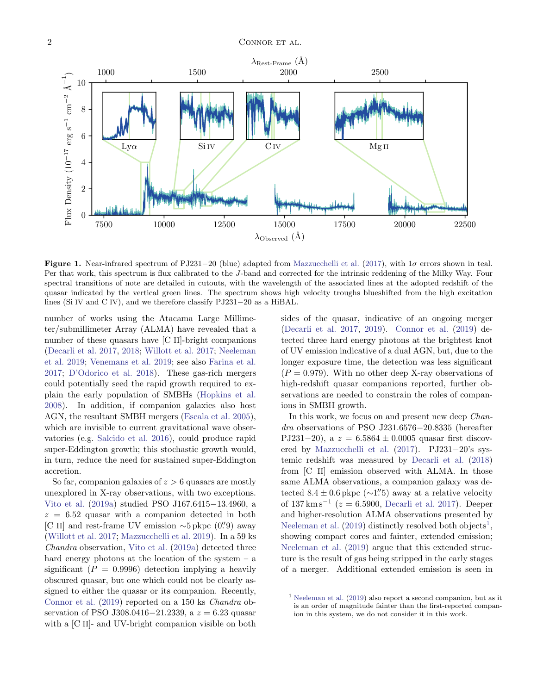

Figure 1. Near-infrared spectrum of PJ231−20 (blue) adapted from Mazzucchelli et al. (2017), with  $1\sigma$  errors shown in teal. Per that work, this spectrum is flux calibrated to the J-band and corrected for the intrinsic reddening of the Milky Way. Four spectral transitions of note are detailed in cutouts, with the wavelength of the associated lines at the adopted redshift of the quasar indicated by the vertical green lines. The spectrum shows high velocity troughs blueshifted from the high excitation lines (Si IV and C IV), and we therefore classify PJ231−20 as a HiBAL.

number of works using the Atacama Large Millimeter/submillimeter Array (ALMA) have revealed that a number of these quasars have [C II]-bright companions (Decarli et al. 2017, 2018; Willott et al. 2017; Neeleman et al. 2019; Venemans et al. 2019; see also Farina et al. 2017; D'Odorico et al. 2018). These gas-rich mergers could potentially seed the rapid growth required to explain the early population of SMBHs (Hopkins et al. 2008). In addition, if companion galaxies also host AGN, the resultant SMBH mergers (Escala et al. 2005), which are invisible to current gravitational wave observatories (e.g. Salcido et al. 2016), could produce rapid super-Eddington growth; this stochastic growth would, in turn, reduce the need for sustained super-Eddington accretion.

So far, companion galaxies of  $z > 6$  quasars are mostly unexplored in X-ray observations, with two exceptions. Vito et al. (2019a) studied PSO J167.6415−13.4960, a  $z = 6.52$  quasar with a companion detected in both [C II] and rest-frame UV emission  $\sim$ 5 pkpc (0", 0"0) away (Willott et al. 2017; Mazzucchelli et al. 2019). In a 59 ks Chandra observation, Vito et al. (2019a) detected three hard energy photons at the location of the system  $-$  a significant ( $P = 0.9996$ ) detection implying a heavily obscured quasar, but one which could not be clearly assigned to either the quasar or its companion. Recently, Connor et al. (2019) reported on a 150 ks Chandra observation of PSO J308.0416−21.2339, a  $z = 6.23$  quasar with a [C II]- and UV-bright companion visible on both

sides of the quasar, indicative of an ongoing merger (Decarli et al. 2017, 2019). Connor et al. (2019) detected three hard energy photons at the brightest knot of UV emission indicative of a dual AGN, but, due to the longer exposure time, the detection was less significant  $(P = 0.979)$ . With no other deep X-ray observations of high-redshift quasar companions reported, further observations are needed to constrain the roles of companions in SMBH growth.

In this work, we focus on and present new deep *Chan*dra observations of PSO J231.6576−20.8335 (hereafter PJ231−20), a  $z = 6.5864 \pm 0.0005$  quasar first discovered by Mazzucchelli et al. (2017). PJ231−20's systemic redshift was measured by Decarli et al. (2018) from [C II] emission observed with ALMA. In those same ALMA observations, a companion galaxy was detected  $8.4 \pm 0.6$  pkpc (∼1''5) away at a relative velocity of  $137 \text{ km s}^{-1}$  ( $z = 6.5900$ , Decarli et al. 2017). Deeper and higher-resolution ALMA observations presented by Neeleman et al.  $(2019)$  distinctly resolved both objects<sup>1</sup>, showing compact cores and fainter, extended emission; Neeleman et al. (2019) argue that this extended structure is the result of gas being stripped in the early stages of a merger. Additional extended emission is seen in

<sup>1</sup> Neeleman et al. (2019) also report a second companion, but as it is an order of magnitude fainter than the first-reported companion in this system, we do not consider it in this work.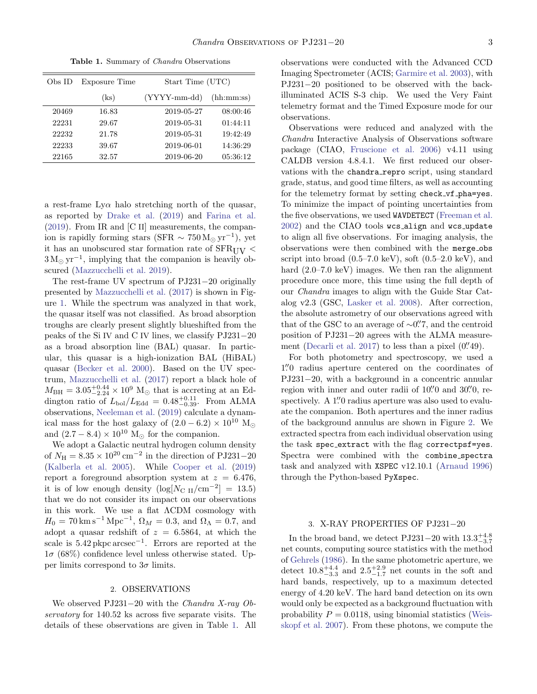| Obs ID | Exposure Time | Start Time (UTC) |            |
|--------|---------------|------------------|------------|
|        | (ks)          | $(YYYY-mm-dd)$   | (hh:mm:ss) |
| 20469  | 16.83         | 2019-05-27       | 08:00:46   |
| 22231  | 29.67         | 2019-05-31       | 01:44:11   |
| 22232  | 21.78         | 2019-05-31       | 19:42:49   |
| 22233  | 39.67         | 2019-06-01       | 14:36:29   |
| 22165  | 32.57         | 2019-06-20       | 05:36:12   |

Table 1. Summary of *Chandra* Observations

a rest-frame  $Ly\alpha$  halo stretching north of the quasar, as reported by Drake et al. (2019) and Farina et al. (2019). From IR and [C II] measurements, the companion is rapidly forming stars (SFR  $\sim 750 \,\mathrm{M}_{\odot} \,\mathrm{yr}^{-1}$ ), yet it has an unobscured star formation rate of  $SFR_{\text{HIV}}$  <  $3 M_{\odot} \text{ yr}^{-1}$ , implying that the companion is heavily obscured (Mazzucchelli et al. 2019).

The rest-frame UV spectrum of PJ231−20 originally presented by Mazzucchelli et al. (2017) is shown in Figure 1. While the spectrum was analyzed in that work, the quasar itself was not classified. As broad absorption troughs are clearly present slightly blueshifted from the peaks of the Si IV and C IV lines, we classify PJ231−20 as a broad absorption line (BAL) quasar. In particular, this quasar is a high-ionization BAL (HiBAL) quasar (Becker et al. 2000). Based on the UV spectrum, Mazzucchelli et al. (2017) report a black hole of  $M_{\text{BH}} = 3.05_{-2.24}^{+0.44} \times 10^9 \text{ M}_{\odot}$  that is accreting at an Eddington ratio of  $L_{\text{bol}}/L_{\text{Edd}} = 0.48_{-0.39}^{+0.11}$ . From ALMA observations, Neeleman et al. (2019) calculate a dynamical mass for the host galaxy of  $(2.0 - 6.2) \times 10^{10}$  M<sub>o</sub> and  $(2.7 - 8.4) \times 10^{10}$  M<sub>o</sub> for the companion.

We adopt a Galactic neutral hydrogen column density of  $N_{\rm H} = 8.35 \times 10^{20} \text{ cm}^{-2}$  in the direction of PJ231–20 (Kalberla et al. 2005). While Cooper et al. (2019) report a foreground absorption system at  $z = 6.476$ , it is of low enough density  $(\log[N_{\text{C II}}/\text{cm}^{-2}] = 13.5)$ that we do not consider its impact on our observations in this work. We use a flat ΛCDM cosmology with  $H_0 = 70 \,\mathrm{km\,s}^{-1}\,\mathrm{Mpc}^{-1}, \ \Omega_M = 0.3, \ \mathrm{and} \ \Omega_{\Lambda} = 0.7, \ \mathrm{and}$ adopt a quasar redshift of  $z = 6.5864$ , at which the scale is 5.42 pkpc arcsec<sup>-1</sup>. Errors are reported at the  $1\sigma$  (68%) confidence level unless otherwise stated. Upper limits correspond to  $3\sigma$  limits.

#### 2. OBSERVATIONS

We observed PJ231−20 with the Chandra X-ray Observatory for 140.52 ks across five separate visits. The details of these observations are given in Table 1. All

observations were conducted with the Advanced CCD Imaging Spectrometer (ACIS; Garmire et al. 2003), with PJ231−20 positioned to be observed with the backilluminated ACIS S-3 chip. We used the Very Faint telemetry format and the Timed Exposure mode for our observations.

Observations were reduced and analyzed with the Chandra Interactive Analysis of Observations software package (CIAO, Fruscione et al. 2006) v4.11 using CALDB version 4.8.4.1. We first reduced our observations with the chandra repro script, using standard grade, status, and good time filters, as well as accounting for the telemetry format by setting check\_vf\_pha=yes. To minimize the impact of pointing uncertainties from the five observations, we used WAVDETECT (Freeman et al. 2002) and the CIAO tools wcs align and wcs update to align all five observations. For imaging analysis, the observations were then combined with the merge obs script into broad  $(0.5-7.0 \text{ keV})$ , soft  $(0.5-2.0 \text{ keV})$ , and hard  $(2.0-7.0 \text{ keV})$  images. We then ran the alignment procedure once more, this time using the full depth of our Chandra images to align with the Guide Star Catalog v2.3 (GSC, Lasker et al. 2008). After correction, the absolute astrometry of our observations agreed with that of the GSC to an average of  $\sim 0\rlap{.}^{\prime\prime}$ , and the centroid position of PJ231−20 agrees with the ALMA measurement (Decarli et al. 2017) to less than a pixel  $(0.49)$ .

For both photometry and spectroscopy, we used a 1. <sup>00</sup>0 radius aperture centered on the coordinates of PJ231−20, with a background in a concentric annular region with inner and outer radii of  $10\rlap.{''}0$  and  $30\rlap.{''}0$ , respectively. A 1''0 radius aperture was also used to evaluate the companion. Both apertures and the inner radius of the background annulus are shown in Figure 2. We extracted spectra from each individual observation using the task spec extract with the flag correctpsf=yes. Spectra were combined with the combine spectra task and analyzed with XSPEC v12.10.1 (Arnaud 1996) through the Python-based PyXspec.

#### 3. X-RAY PROPERTIES OF PJ231−20

In the broad band, we detect PJ231–20 with  $13.3^{+4.8}_{-3.7}$ net counts, computing source statistics with the method of Gehrels (1986). In the same photometric aperture, we detect  $10.8^{+4.4}_{-3.3}$  and  $2.5^{+2.9}_{-1.7}$  net counts in the soft and hard bands, respectively, up to a maximum detected energy of 4.20 keV. The hard band detection on its own would only be expected as a background fluctuation with probability  $P = 0.0118$ , using binomial statistics (Weisskopf et al. 2007). From these photons, we compute the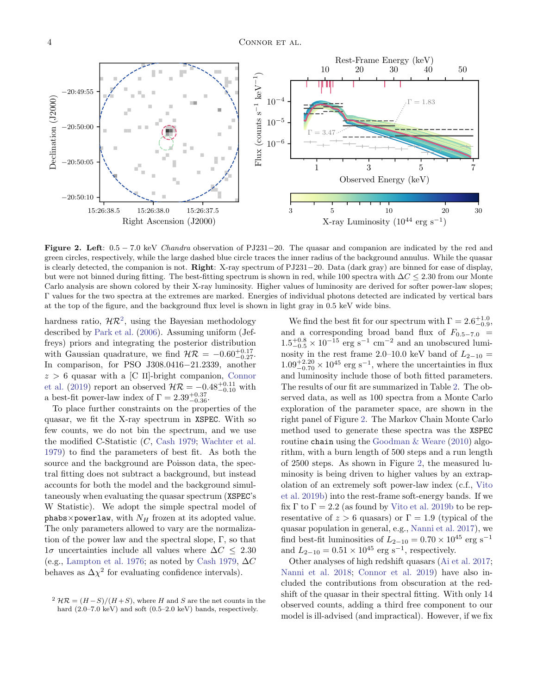

Figure 2. Left: 0.5 − 7.0 keV Chandra observation of PJ231−20. The quasar and companion are indicated by the red and green circles, respectively, while the large dashed blue circle traces the inner radius of the background annulus. While the quasar is clearly detected, the companion is not. Right: X-ray spectrum of PJ231−20. Data (dark gray) are binned for ease of display, but were not binned during fitting. The best-fitting spectrum is shown in red, while 100 spectra with  $\Delta C \leq 2.30$  from our Monte Carlo analysis are shown colored by their X-ray luminosity. Higher values of luminosity are derived for softer power-law slopes; Γ values for the two spectra at the extremes are marked. Energies of individual photons detected are indicated by vertical bars at the top of the figure, and the background flux level is shown in light gray in 0.5 keV wide bins.

hardness ratio,  $\mathcal{HR}^2$ , using the Bayesian methodology described by Park et al. (2006). Assuming uniform (Jeffreys) priors and integrating the posterior distribution with Gaussian quadrature, we find  $HR = -0.60^{+0.17}_{-0.27}$ . In comparison, for PSO J308.0416−21.2339, another  $z > 6$  quasar with a [C II]-bright companion, Connor et al. (2019) report an observed  $\mathcal{HR} = -0.48_{-0.10}^{+0.11}$  with a best-fit power-law index of  $\Gamma = 2.39_{-0.36}^{+0.37}$ .

To place further constraints on the properties of the quasar, we fit the X-ray spectrum in XSPEC. With so few counts, we do not bin the spectrum, and we use the modified C-Statistic (C, Cash 1979; Wachter et al. 1979) to find the parameters of best fit. As both the source and the background are Poisson data, the spectral fitting does not subtract a background, but instead accounts for both the model and the background simultaneously when evaluating the quasar spectrum (XSPEC's W Statistic). We adopt the simple spectral model of phabs×powerlaw, with  $N_H$  frozen at its adopted value. The only parameters allowed to vary are the normalization of the power law and the spectral slope,  $\Gamma$ , so that  $1\sigma$  uncertainties include all values where  $\Delta C \leq 2.30$ (e.g., Lampton et al. 1976; as noted by Cash 1979,  $\Delta C$ behaves as  $\Delta \chi^2$  for evaluating confidence intervals).

We find the best fit for our spectrum with  $\Gamma = 2.6^{+1.0}_{-0.9}$ , and a corresponding broad band flux of  $F_{0.5-7.0}$  =  $1.5^{+0.8}_{-0.5} \times 10^{-15}$  erg s<sup>-1</sup> cm<sup>-2</sup> and an unobscured luminosity in the rest frame 2.0–10.0 keV band of  $L_{2-10}$  =  $1.09_{-0.70}^{+2.20} \times 10^{45}$  erg s<sup>-1</sup>, where the uncertainties in flux and luminosity include those of both fitted parameters. The results of our fit are summarized in Table 2. The observed data, as well as 100 spectra from a Monte Carlo exploration of the parameter space, are shown in the right panel of Figure 2. The Markov Chain Monte Carlo method used to generate these spectra was the XSPEC routine chain using the Goodman  $\&$  Weare (2010) algorithm, with a burn length of 500 steps and a run length of 2500 steps. As shown in Figure 2, the measured luminosity is being driven to higher values by an extrapolation of an extremely soft power-law index (c.f., Vito et al. 2019b) into the rest-frame soft-energy bands. If we fix  $\Gamma$  to  $\Gamma = 2.2$  (as found by Vito et al. 2019b to be representative of  $z > 6$  quasars) or  $\Gamma = 1.9$  (typical of the quasar population in general, e.g., Nanni et al. 2017), we find best-fit luminosities of  $L_{2-10} = 0.70 \times 10^{45}$  erg s<sup>-1</sup> and  $L_{2-10} = 0.51 \times 10^{45} \text{ erg s}^{-1}$ , respectively.

Other analyses of high redshift quasars (Ai et al. 2017; Nanni et al. 2018; Connor et al. 2019) have also included the contributions from obscuration at the redshift of the quasar in their spectral fitting. With only 14 observed counts, adding a third free component to our model is ill-advised (and impractical). However, if we fix

<sup>&</sup>lt;sup>2</sup>  $\mathcal{HR} = (H - S)/(H + S)$ , where H and S are the net counts in the hard  $(2.0-7.0 \text{ keV})$  and soft  $(0.5-2.0 \text{ keV})$  bands, respectively.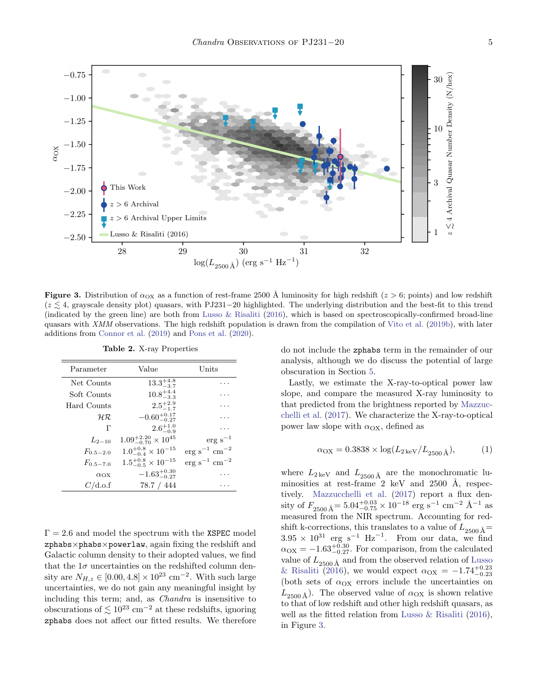

**Figure 3.** Distribution of  $\alpha_{OX}$  as a function of rest-frame 2500 Å luminosity for high redshift ( $z > 6$ ; points) and low redshift  $(z \leq 4$ , grayscale density plot) quasars, with PJ231−20 highlighted. The underlying distribution and the best-fit to this trend (indicated by the green line) are both from Lusso  $&$  Risaliti (2016), which is based on spectroscopically-confirmed broad-line quasars with XMM observations. The high redshift population is drawn from the compilation of Vito et al. (2019b), with later additions from Connor et al. (2019) and Pons et al. (2020).

| Parameter      | Value                                 | $_{\rm Units}$                      |
|----------------|---------------------------------------|-------------------------------------|
| Net Counts     | $13.3^{+4.8}_{-3.7}$                  |                                     |
| Soft Counts    | $10.8^{+4.4}_{-3.3}$                  | $\ddotsc$                           |
| Hard Counts    | $2.5^{+2.9}_{-1.7}$                   | $\cdot$ .                           |
| $H\mathcal{R}$ | $-0.60^{+0.17}_{-0.27}$               | $\ddotsc$                           |
| г              | $2.6^{+1.0}_{-0.9}$                   |                                     |
| $L_{2-10}$     | $1.09_{-0.70}^{+2.20} \times 10^{45}$ | $erg s^{-1}$                        |
| $F_{0.5-2.0}$  | $1.0^{+0.8}_{-0.4}\times10^{-15}$     | $\rm erg\ s^{-1}\ cm^{-2}$          |
| $F_{0.5-7.0}$  | $1.5^{+0.8}_{-0.5}\times10^{-15}$     | $\text{erg s}^{-1} \text{ cm}^{-2}$ |
| $\alpha_{OX}$  | $-1.63_{-0.27}^{+0.30}$               | $\cdot$ .                           |
| C/d.o.f        | 78.7 / 444                            |                                     |

Table 2. X-ray Properties

 $\Gamma = 2.6$  and model the spectrum with the XSPEC model  $zphabs\times phabs\times powerlaw$ , again fixing the redshift and Galactic column density to their adopted values, we find that the  $1\sigma$  uncertainties on the redshifted column density are  $N_{H,z} \in [0.00, 4.8] \times 10^{23}$  cm<sup>-2</sup>. With such large uncertainties, we do not gain any meaningful insight by including this term; and, as Chandra is insensitive to obscurations of  $\lesssim 10^{23}$  cm<sup>-2</sup> at these redshifts, ignoring zphabs does not affect our fitted results. We therefore

do not include the zphabs term in the remainder of our analysis, although we do discuss the potential of large obscuration in Section 5.

Lastly, we estimate the X-ray-to-optical power law slope, and compare the measured X-ray luminosity to that predicted from the brightness reported by Mazzucchelli et al. (2017). We characterize the X-ray-to-optical power law slope with  $\alpha_{OX}$ , defined as

$$
\alpha_{\rm OX} = 0.3838 \times \log(L_{2\,\rm keV}/L_{2500\,\rm \AA}),\tag{1}
$$

where  $L_{2\,\text{keV}}$  and  $L_{2500\,\text{\AA}}$  are the monochromatic luminosities at rest-frame 2 keV and  $2500$  Å, respectively. Mazzucchelli et al. (2017) report a flux density of  $F_{2500 \text{\AA}} = 5.04_{-0.75}^{+0.03} \times 10^{-18} \text{ erg s}^{-1} \text{ cm}^{-2} \text{\AA}^{-1} \text{ as}$ measured from the NIR spectrum. Accounting for redshift k-corrections, this translates to a value of  $L_{2500 \text{\AA}} =$  $3.95 \times 10^{31}$  erg s<sup>-1</sup> Hz<sup>-1</sup>. From our data, we find  $\alpha_{\text{OX}} = -1.63_{-0.27}^{+0.30}$ . For comparison, from the calculated value of  $L_{2500 \text{\AA}}$  and from the observed relation of Lusso & Risaliti (2016), we would expect  $\alpha_{\text{OX}} = -1.74_{-0.23}^{+0.23}$ (both sets of  $\alpha_{\text{OX}}$  errors include the uncertainties on  $L_{2500 \text{\AA}}$ ). The observed value of  $\alpha_{\text{OX}}$  is shown relative to that of low redshift and other high redshift quasars, as well as the fitted relation from Lusso & Risaliti (2016), in Figure 3.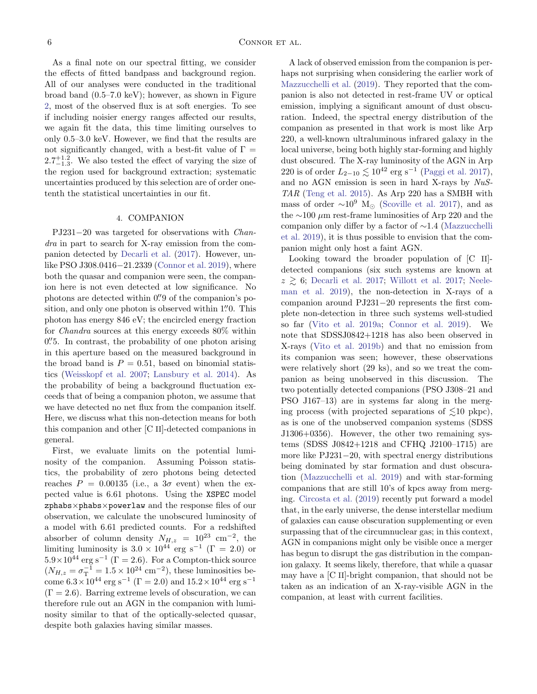As a final note on our spectral fitting, we consider the effects of fitted bandpass and background region. All of our analyses were conducted in the traditional broad band (0.5–7.0 keV); however, as shown in Figure 2, most of the observed flux is at soft energies. To see if including noisier energy ranges affected our results, we again fit the data, this time limiting ourselves to only 0.5–3.0 keV. However, we find that the results are not significantly changed, with a best-fit value of  $\Gamma =$  $2.7^{+1.2}_{-1.3}$ . We also tested the effect of varying the size of the region used for background extraction; systematic uncertainties produced by this selection are of order onetenth the statistical uncertainties in our fit.

## 4. COMPANION

PJ231−20 was targeted for observations with Chandra in part to search for X-ray emission from the companion detected by Decarli et al. (2017). However, unlike PSO J308.0416−21.2339 (Connor et al. 2019), where both the quasar and companion were seen, the companion here is not even detected at low significance. No photons are detected within 0. 9 of the companion's position, and only one photon is observed within 1.'' O. This photon has energy 846 eV; the encircled energy fraction for Chandra sources at this energy exceeds 80% within 0. In contrast, the probability of one photon arising in this aperture based on the measured background in the broad band is  $P = 0.51$ , based on binomial statistics (Weisskopf et al. 2007; Lansbury et al. 2014). As the probability of being a background fluctuation exceeds that of being a companion photon, we assume that we have detected no net flux from the companion itself. Here, we discuss what this non-detection means for both this companion and other [C II]-detected companions in general.

First, we evaluate limits on the potential luminosity of the companion. Assuming Poisson statistics, the probability of zero photons being detected reaches  $P = 0.00135$  (i.e., a  $3\sigma$  event) when the expected value is 6.61 photons. Using the XSPEC model zphabs×phabs×powerlaw and the response files of our observation, we calculate the unobscured luminosity of a model with 6.61 predicted counts. For a redshifted absorber of column density  $N_{H,z} = 10^{23}$  cm<sup>-2</sup>, the limiting luminosity is  $3.0 \times 10^{44}$  erg s<sup>-1</sup> (Γ = 2.0) or  $5.9\times10^{44}$  erg s<sup>-1</sup> ( $\Gamma = 2.6$ ). For a Compton-thick source  $(N_{H,z} = \sigma_{\rm T}^{-1} = 1.5 \times 10^{24} \text{ cm}^{-2})$ , these luminosities become  $6.3 \times 10^{44}$  erg s<sup>-1</sup> ( $\Gamma = 2.0$ ) and  $15.2 \times 10^{44}$  erg s<sup>-1</sup>  $(\Gamma = 2.6)$ . Barring extreme levels of obscuration, we can therefore rule out an AGN in the companion with luminosity similar to that of the optically-selected quasar, despite both galaxies having similar masses.

A lack of observed emission from the companion is perhaps not surprising when considering the earlier work of Mazzucchelli et al. (2019). They reported that the companion is also not detected in rest-frame UV or optical emission, implying a significant amount of dust obscuration. Indeed, the spectral energy distribution of the companion as presented in that work is most like Arp 220, a well-known ultraluminous infrared galaxy in the local universe, being both highly star-forming and highly dust obscured. The X-ray luminosity of the AGN in Arp 220 is of order  $L_{2-10} \lesssim 10^{42}$  erg s<sup>-1</sup> (Paggi et al. 2017), and no AGN emission is seen in hard X-rays by NuS-TAR (Teng et al. 2015). As Arp 220 has a SMBH with mass of order  $\sim 10^9$  M<sub> $\odot$ </sub> (Scoville et al. 2017), and as the ∼100 µm rest-frame luminosities of Arp 220 and the companion only differ by a factor of ∼1.4 (Mazzucchelli et al. 2019), it is thus possible to envision that the companion might only host a faint AGN.

Looking toward the broader population of [C II] detected companions (six such systems are known at  $z \geq 6$ ; Decarli et al. 2017; Willott et al. 2017; Neeleman et al. 2019), the non-detection in X-rays of a companion around PJ231−20 represents the first complete non-detection in three such systems well-studied so far (Vito et al. 2019a; Connor et al. 2019). We note that SDSSJ0842+1218 has also been observed in X-rays (Vito et al. 2019b) and that no emission from its companion was seen; however, these observations were relatively short (29 ks), and so we treat the companion as being unobserved in this discussion. The two potentially detected companions (PSO J308–21 and PSO J167–13) are in systems far along in the merging process (with projected separations of  $\leq 10$  pkpc), as is one of the unobserved companion systems (SDSS J1306+0356). However, the other two remaining systems (SDSS J0842+1218 and CFHQ J2100–1715) are more like PJ231−20, with spectral energy distributions being dominated by star formation and dust obscuration (Mazzucchelli et al. 2019) and with star-forming companions that are still 10's of kpcs away from merging. Circosta et al. (2019) recently put forward a model that, in the early universe, the dense interstellar medium of galaxies can cause obscuration supplementing or even surpassing that of the circumnuclear gas; in this context, AGN in companions might only be visible once a merger has begun to disrupt the gas distribution in the companion galaxy. It seems likely, therefore, that while a quasar may have a [C II]-bright companion, that should not be taken as an indication of an X-ray-visible AGN in the companion, at least with current facilities.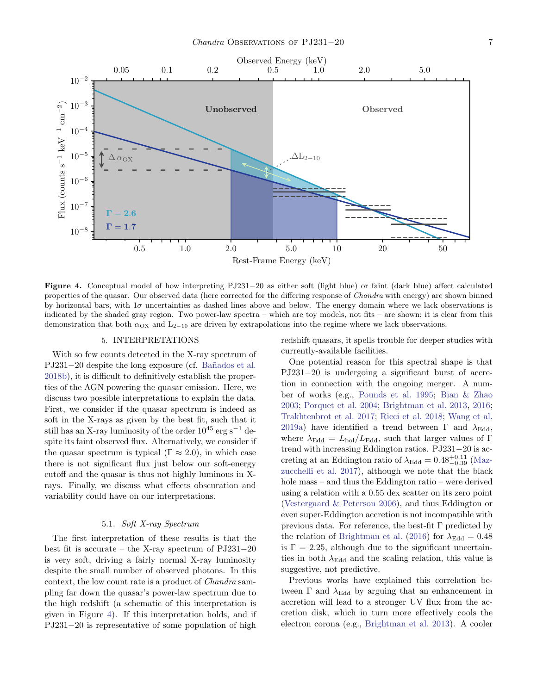

Figure 4. Conceptual model of how interpreting PJ231−20 as either soft (light blue) or faint (dark blue) affect calculated properties of the quasar. Our observed data (here corrected for the differing response of *Chandra* with energy) are shown binned by horizontal bars, with  $1\sigma$  uncertainties as dashed lines above and below. The energy domain where we lack observations is indicated by the shaded gray region. Two power-law spectra – which are toy models, not fits – are shown; it is clear from this demonstration that both  $\alpha_{OX}$  and  $L_{2-10}$  are driven by extrapolations into the regime where we lack observations.

### 5. INTERPRETATIONS

With so few counts detected in the X-ray spectrum of PJ231−20 despite the long exposure (cf. Bañados et al. 2018b), it is difficult to definitively establish the properties of the AGN powering the quasar emission. Here, we discuss two possible interpretations to explain the data. First, we consider if the quasar spectrum is indeed as soft in the X-rays as given by the best fit, such that it still has an X-ray luminosity of the order  $10^{45}$  erg s<sup>-1</sup> despite its faint observed flux. Alternatively, we consider if the quasar spectrum is typical ( $\Gamma \approx 2.0$ ), in which case there is not significant flux just below our soft-energy cutoff and the quasar is thus not highly luminous in Xrays. Finally, we discuss what effects obscuration and variability could have on our interpretations.

## 5.1. Soft X-ray Spectrum

The first interpretation of these results is that the best fit is accurate – the X-ray spectrum of PJ231−20 is very soft, driving a fairly normal X-ray luminosity despite the small number of observed photons. In this context, the low count rate is a product of Chandra sampling far down the quasar's power-law spectrum due to the high redshift (a schematic of this interpretation is given in Figure 4). If this interpretation holds, and if PJ231−20 is representative of some population of high

redshift quasars, it spells trouble for deeper studies with currently-available facilities.

One potential reason for this spectral shape is that PJ231−20 is undergoing a significant burst of accretion in connection with the ongoing merger. A number of works (e.g., Pounds et al. 1995; Bian & Zhao 2003; Porquet et al. 2004; Brightman et al. 2013, 2016; Trakhtenbrot et al. 2017; Ricci et al. 2018; Wang et al. 2019a) have identified a trend between  $\Gamma$  and  $\lambda_{\text{Edd}}$ , where  $\lambda_{\rm Edd} = L_{\rm bol}/L_{\rm Edd}$ , such that larger values of Γ trend with increasing Eddington ratios. PJ231−20 is accreting at an Eddington ratio of  $\lambda_{\text{Edd}} = 0.48_{-0.39}^{+0.11}$  (Mazzucchelli et al. 2017), although we note that the black hole mass – and thus the Eddington ratio – were derived using a relation with a 0.55 dex scatter on its zero point (Vestergaard & Peterson 2006), and thus Eddington or even super-Eddington accretion is not incompatible with previous data. For reference, the best-fit Γ predicted by the relation of Brightman et al. (2016) for  $\lambda_{\text{Edd}} = 0.48$ is  $\Gamma = 2.25$ , although due to the significant uncertainties in both  $\lambda_{\text{Edd}}$  and the scaling relation, this value is suggestive, not predictive.

Previous works have explained this correlation between  $\Gamma$  and  $\lambda_{\text{Edd}}$  by arguing that an enhancement in accretion will lead to a stronger UV flux from the accretion disk, which in turn more effectively cools the electron corona (e.g., Brightman et al. 2013). A cooler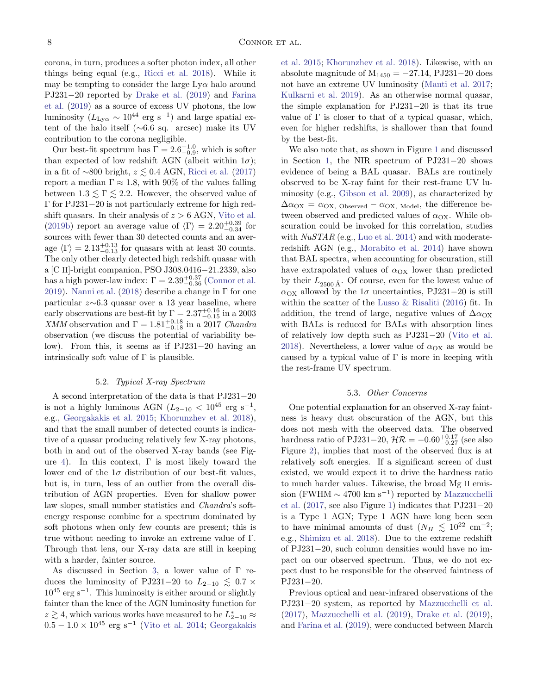corona, in turn, produces a softer photon index, all other things being equal (e.g., Ricci et al. 2018). While it may be tempting to consider the large  $Ly\alpha$  halo around PJ231−20 reported by Drake et al. (2019) and Farina et al. (2019) as a source of excess UV photons, the low luminosity ( $L_{\text{Ly}\alpha} \sim 10^{44}$  erg s<sup>-1</sup>) and large spatial extent of the halo itself (∼6.6 sq. arcsec) make its UV contribution to the corona negligible.

Our best-fit spectrum has  $\Gamma = 2.6^{+1.0}_{-0.9}$ , which is softer than expected of low redshift AGN (albeit within  $1\sigma$ ); in a fit of ∼800 bright,  $z \lesssim 0.4$  AGN, Ricci et al. (2017) report a median  $\Gamma \approx 1.8$ , with 90% of the values falling between  $1.3 \leq \Gamma \leq 2.2$ . However, the observed value of Γ for PJ231−20 is not particularly extreme for high redshift quasars. In their analysis of  $z > 6$  AGN, Vito et al. (2019b) report an average value of  $\langle \Gamma \rangle = 2.20^{+0.39}_{-0.34}$  for sources with fewer than 30 detected counts and an average  $\langle \Gamma \rangle = 2.13_{-0.13}^{+0.13}$  for quasars with at least 30 counts. The only other clearly detected high redshift quasar with a [C II]-bright companion, PSO J308.0416−21.2339, also has a high power-law index:  $\Gamma = 2.39^{+0.37}_{-0.36}$  (Connor et al. 2019). Nanni et al. (2018) describe a change in  $\Gamma$  for one particular z∼6.3 quasar over a 13 year baseline, where early observations are best-fit by  $\Gamma = 2.37^{+0.16}_{-0.15}$  in a 2003 XMM observation and  $\Gamma = 1.81_{-0.18}^{+0.18}$  in a 2017 Chandra observation (we discuss the potential of variability below). From this, it seems as if PJ231−20 having an intrinsically soft value of  $\Gamma$  is plausible.

### 5.2. Typical X-ray Spectrum

A second interpretation of the data is that PJ231−20 is not a highly luminous AGN ( $L_{2-10}$  <  $10^{45}$  erg s<sup>-1</sup>, e.g., Georgakakis et al. 2015; Khorunzhev et al. 2018), and that the small number of detected counts is indicative of a quasar producing relatively few X-ray photons, both in and out of the observed X-ray bands (see Figure 4). In this context,  $\Gamma$  is most likely toward the lower end of the  $1\sigma$  distribution of our best-fit values, but is, in turn, less of an outlier from the overall distribution of AGN properties. Even for shallow power law slopes, small number statistics and Chandra's softenergy response combine for a spectrum dominated by soft photons when only few counts are present; this is true without needing to invoke an extreme value of Γ. Through that lens, our X-ray data are still in keeping with a harder, fainter source.

As discussed in Section 3, a lower value of Γ reduces the luminosity of PJ231−20 to  $L_{2-10} \lesssim 0.7 \times$  $10^{45}$  erg s<sup>-1</sup>. This luminosity is either around or slightly fainter than the knee of the AGN luminosity function for  $z \gtrsim 4$ , which various works have measured to be  $L_{2-10}^* \approx$  $0.5 - 1.0 \times 10^{45}$  erg s<sup>-1</sup> (Vito et al. 2014; Georgakakis

et al. 2015; Khorunzhev et al. 2018). Likewise, with an absolute magnitude of  $M_{1450} = -27.14$ , PJ231-20 does not have an extreme UV luminosity (Manti et al. 2017; Kulkarni et al. 2019). As an otherwise normal quasar, the simple explanation for PJ231−20 is that its true value of  $\Gamma$  is closer to that of a typical quasar, which, even for higher redshifts, is shallower than that found by the best-fit.

We also note that, as shown in Figure 1 and discussed in Section 1, the NIR spectrum of PJ231−20 shows evidence of being a BAL quasar. BALs are routinely observed to be X-ray faint for their rest-frame UV luminosity (e.g., Gibson et al. 2009), as characterized by  $\Delta \alpha_{\text{OX}} = \alpha_{\text{OX}}$ , Observed –  $\alpha_{\text{OX}}$ , Model, the difference between observed and predicted values of  $\alpha_{\text{OX}}$ . While obscuration could be invoked for this correlation, studies with  $NuSTAR$  (e.g., Luo et al. 2014) and with moderateredshift AGN (e.g., Morabito et al. 2014) have shown that BAL spectra, when accounting for obscuration, still have extrapolated values of  $\alpha_{OX}$  lower than predicted by their  $L_{2500 \text{\AA}}$ . Of course, even for the lowest value of  $\alpha_{\text{OX}}$  allowed by the 1 $\sigma$  uncertainties, PJ231−20 is still within the scatter of the Lusso & Risaliti (2016) fit. In addition, the trend of large, negative values of  $\Delta \alpha_{\rm OX}$ with BALs is reduced for BALs with absorption lines of relatively low depth such as PJ231−20 (Vito et al. 2018). Nevertheless, a lower value of  $\alpha_{\text{OX}}$  as would be caused by a typical value of  $\Gamma$  is more in keeping with the rest-frame UV spectrum.

#### 5.3. Other Concerns

One potential explanation for an observed X-ray faintness is heavy dust obscuration of the AGN, but this does not mesh with the observed data. The observed hardness ratio of PJ231–20,  $\mathcal{HR} = -0.60_{-0.27}^{+0.17}$  (see also Figure 2), implies that most of the observed flux is at relatively soft energies. If a significant screen of dust existed, we would expect it to drive the hardness ratio to much harder values. Likewise, the broad Mg II emission (FWHM  $\sim 4700 \text{ km s}^{-1}$ ) reported by Mazzucchelli et al. (2017, see also Figure 1) indicates that PJ231−20 is a Type 1 AGN; Type 1 AGN have long been seen to have minimal amounts of dust  $(N_H \leq 10^{22} \text{ cm}^{-2})$ ; e.g., Shimizu et al. 2018). Due to the extreme redshift of PJ231−20, such column densities would have no impact on our observed spectrum. Thus, we do not expect dust to be responsible for the observed faintness of PJ231−20.

Previous optical and near-infrared observations of the PJ231−20 system, as reported by Mazzucchelli et al. (2017), Mazzucchelli et al. (2019), Drake et al. (2019), and Farina et al. (2019), were conducted between March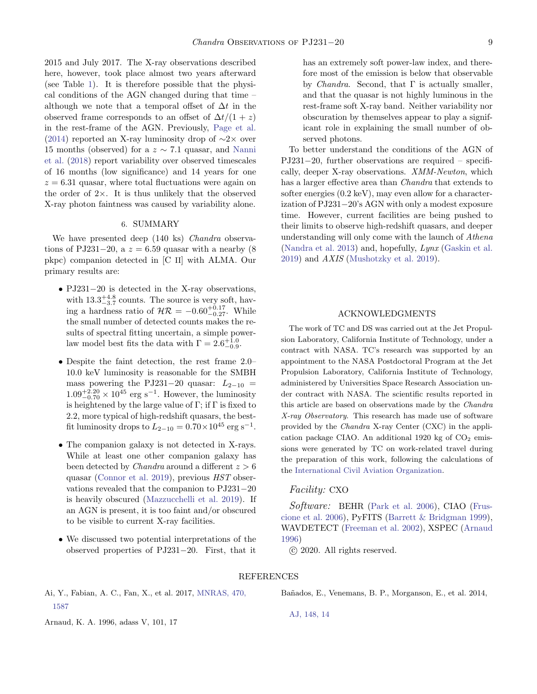2015 and July 2017. The X-ray observations described here, however, took place almost two years afterward (see Table 1). It is therefore possible that the physical conditions of the AGN changed during that time – although we note that a temporal offset of  $\Delta t$  in the observed frame corresponds to an offset of  $\Delta t/(1+z)$ in the rest-frame of the AGN. Previously, Page et al. (2014) reported an X-ray luminosity drop of  $\sim$ 2× over 15 months (observed) for a  $z \sim 7.1$  quasar, and Nanni et al. (2018) report variability over observed timescales of 16 months (low significance) and 14 years for one  $z = 6.31$  quasar, where total fluctuations were again on the order of  $2 \times$ . It is thus unlikely that the observed X-ray photon faintness was caused by variability alone.

#### 6. SUMMARY

We have presented deep (140 ks) *Chandra* observations of PJ231−20, a  $z = 6.59$  quasar with a nearby (8) pkpc) companion detected in [C II] with ALMA. Our primary results are:

- PJ231−20 is detected in the X-ray observations, with  $13.3^{+4.8}_{-3.7}$  counts. The source is very soft, having a hardness ratio of  $\mathcal{HR} = -0.60_{-0.27}^{+0.17}$ . While the small number of detected counts makes the results of spectral fitting uncertain, a simple powerlaw model best fits the data with  $\Gamma = 2.6^{+1.0}_{-0.9}$ .
- Despite the faint detection, the rest frame 2.0– 10.0 keV luminosity is reasonable for the SMBH mass powering the PJ231−20 quasar:  $L_{2-10}$  =  $1.09_{-0.70}^{+2.20} \times 10^{45}$  erg s<sup>-1</sup>. However, the luminosity is heightened by the large value of  $\Gamma$ ; if  $\Gamma$  is fixed to 2.2, more typical of high-redshift quasars, the bestfit luminosity drops to  $L_{2-10} = 0.70 \times 10^{45} \text{ erg s}^{-1}$ .
- The companion galaxy is not detected in X-rays. While at least one other companion galaxy has been detected by *Chandra* around a different  $z > 6$ quasar (Connor et al. 2019), previous HST observations revealed that the companion to PJ231−20 is heavily obscured (Mazzucchelli et al. 2019). If an AGN is present, it is too faint and/or obscured to be visible to current X-ray facilities.
- We discussed two potential interpretations of the observed properties of PJ231−20. First, that it

has an extremely soft power-law index, and therefore most of the emission is below that observable by *Chandra*. Second, that  $\Gamma$  is actually smaller, and that the quasar is not highly luminous in the rest-frame soft X-ray band. Neither variability nor obscuration by themselves appear to play a significant role in explaining the small number of observed photons.

To better understand the conditions of the AGN of PJ231−20, further observations are required – specifically, deeper X-ray observations. XMM-Newton, which has a larger effective area than *Chandra* that extends to softer energies (0.2 keV), may even allow for a characterization of PJ231−20's AGN with only a modest exposure time. However, current facilities are being pushed to their limits to observe high-redshift quasars, and deeper understanding will only come with the launch of Athena (Nandra et al. 2013) and, hopefully, Lynx (Gaskin et al. 2019) and AXIS (Mushotzky et al. 2019).

## ACKNOWLEDGMENTS

The work of TC and DS was carried out at the Jet Propulsion Laboratory, California Institute of Technology, under a contract with NASA. TC's research was supported by an appointment to the NASA Postdoctoral Program at the Jet Propulsion Laboratory, California Institute of Technology, administered by Universities Space Research Association under contract with NASA. The scientific results reported in this article are based on observations made by the Chandra X-ray Observatory. This research has made use of software provided by the Chandra X-ray Center (CXC) in the application package CIAO. An additional 1920 kg of  $CO<sub>2</sub>$  emissions were generated by TC on work-related travel during the preparation of this work, following the calculations of the [International Civil Aviation Organization.](https://www.icao.int/environmental-protection/Carbonoffset/)

### Facility: CXO

Software: BEHR (Park et al. 2006), CIAO (Fruscione et al. 2006), PyFITS (Barrett & Bridgman 1999), WAVDETECT (Freeman et al. 2002), XSPEC (Arnaud 1996)

c 2020. All rights reserved.

#### REFERENCES

Ai, Y., Fabian, A. C., Fan, X., et al. 2017, [MNRAS, 470,](http://dx.doi.org/10.1093/mnras/stx1231) [1587](http://dx.doi.org/10.1093/mnras/stx1231)

Arnaud, K. A. 1996, adass V, 101, 17

Ba˜nados, E., Venemans, B. P., Morganson, E., et al. 2014,

[AJ, 148, 14](http://dx.doi.org/10.1088/0004-6256/148/1/14)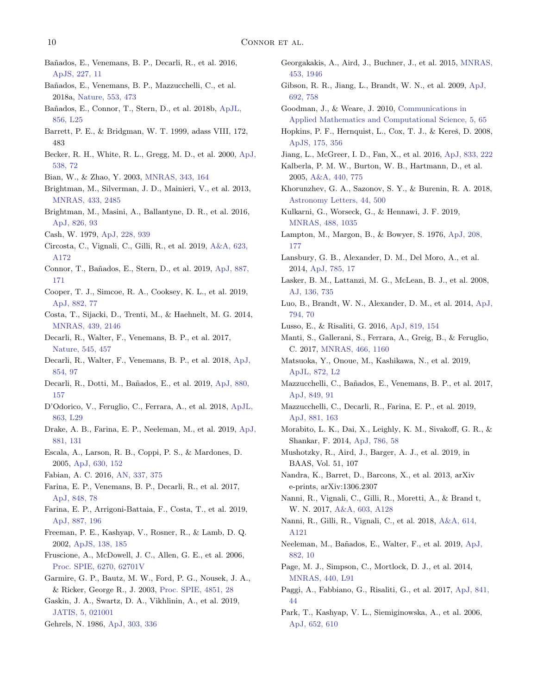- Ba˜nados, E., Venemans, B. P., Decarli, R., et al. 2016, [ApJS, 227, 11](http://dx.doi.org/10.3847/0067-0049/227/1/11)
- Ba˜nados, E., Venemans, B. P., Mazzucchelli, C., et al. 2018a, [Nature, 553, 473](http://dx.doi.org/10.1038/nature25180)
- Ba˜nados, E., Connor, T., Stern, D., et al. 2018b, [ApJL,](http://dx.doi.org/10.3847/2041-8213/aab61e) [856, L25](http://dx.doi.org/10.3847/2041-8213/aab61e)
- Barrett, P. E., & Bridgman, W. T. 1999, adass VIII, 172, 483
- Becker, R. H., White, R. L., Gregg, M. D., et al. 2000, [ApJ,](http://dx.doi.org/10.1086/309099) [538, 72](http://dx.doi.org/10.1086/309099)
- Bian, W., & Zhao, Y. 2003, [MNRAS, 343, 164](http://dx.doi.org/10.1046/j.1365-8711.2003.06650.x)
- Brightman, M., Silverman, J. D., Mainieri, V., et al. 2013, [MNRAS, 433, 2485](http://dx.doi.org/10.1093/mnras/stt920)
- Brightman, M., Masini, A., Ballantyne, D. R., et al. 2016, [ApJ, 826, 93](http://dx.doi.org/10.3847/0004-637X/826/1/93)
- Cash, W. 1979, [ApJ, 228, 939](http://dx.doi.org/10.1086/156922)
- Circosta, C., Vignali, C., Gilli, R., et al. 2019, [A&A, 623,](http://dx.doi.org/10.1051/0004-6361/201834426) [A172](http://dx.doi.org/10.1051/0004-6361/201834426)
- Connor, T., Ba˜nados, E., Stern, D., et al. 2019, [ApJ, 887,](http://dx.doi.org/10.3847/1538-4357/ab5585) [171](http://dx.doi.org/10.3847/1538-4357/ab5585)
- Cooper, T. J., Simcoe, R. A., Cooksey, K. L., et al. 2019, [ApJ, 882, 77](http://dx.doi.org/10.3847/1538-4357/ab3402)
- Costa, T., Sijacki, D., Trenti, M., & Haehnelt, M. G. 2014, [MNRAS, 439, 2146](http://dx.doi.org/10.1093/mnras/stu101)
- Decarli, R., Walter, F., Venemans, B. P., et al. 2017, [Nature, 545, 457](http://dx.doi.org/10.1038/nature22358)
- Decarli, R., Walter, F., Venemans, B. P., et al. 2018, [ApJ,](http://dx.doi.org/10.3847/1538-4357/aaa5aa) [854, 97](http://dx.doi.org/10.3847/1538-4357/aaa5aa)
- Decarli, R., Dotti, M., Ba˜nados, E., et al. 2019, [ApJ, 880,](http://dx.doi.org/10.3847/1538-4357/ab297f) [157](http://dx.doi.org/10.3847/1538-4357/ab297f)
- D'Odorico, V., Feruglio, C., Ferrara, A., et al. 2018, [ApJL,](http://dx.doi.org/10.3847/2041-8213/aad7b7) [863, L29](http://dx.doi.org/10.3847/2041-8213/aad7b7)
- Drake, A. B., Farina, E. P., Neeleman, M., et al. 2019, [ApJ,](http://dx.doi.org/10.3847/1538-4357/ab2984) [881, 131](http://dx.doi.org/10.3847/1538-4357/ab2984)
- Escala, A., Larson, R. B., Coppi, P. S., & Mardones, D. 2005, [ApJ, 630, 152](http://dx.doi.org/10.1086/431747)
- Fabian, A. C. 2016, [AN, 337, 375](http://dx.doi.org/10.1002/asna.201612316)
- Farina, E. P., Venemans, B. P., Decarli, R., et al. 2017, [ApJ, 848, 78](http://dx.doi.org/10.3847/1538-4357/aa8df4)
- Farina, E. P., Arrigoni-Battaia, F., Costa, T., et al. 2019, [ApJ, 887, 196](http://dx.doi.org/10.3847/1538-4357/ab5847)
- Freeman, P. E., Kashyap, V., Rosner, R., & Lamb, D. Q. 2002, [ApJS, 138, 185](http://dx.doi.org/10.1086/324017)
- Fruscione, A., McDowell, J. C., Allen, G. E., et al. 2006, [Proc. SPIE, 6270, 62701V](http://dx.doi.org/10.1117/12.671760)
- Garmire, G. P., Bautz, M. W., Ford, P. G., Nousek, J. A., & Ricker, George R., J. 2003, [Proc. SPIE, 4851, 28](http://dx.doi.org/10.1117/12.461599)
- Gaskin, J. A., Swartz, D. A., Vikhlinin, A., et al. 2019, [JATIS, 5, 021001](http://dx.doi.org/10.1117/1.JATIS.5.2.021001)
- Gehrels, N. 1986, [ApJ, 303, 336](http://dx.doi.org/10.1086/164079)
- Georgakakis, A., Aird, J., Buchner, J., et al. 2015, [MNRAS,](http://dx.doi.org/10.1093/mnras/stv1703) [453, 1946](http://dx.doi.org/10.1093/mnras/stv1703)
- Gibson, R. R., Jiang, L., Brandt, W. N., et al. 2009, [ApJ,](http://dx.doi.org/10.1088/0004-637X/692/1/758) [692, 758](http://dx.doi.org/10.1088/0004-637X/692/1/758)
- Goodman, J., & Weare, J. 2010, [Communications in](http://dx.doi.org/10.2140/camcos.2010.5.65) [Applied Mathematics and Computational Science, 5, 65](http://dx.doi.org/10.2140/camcos.2010.5.65)
- Hopkins, P. F., Hernquist, L., Cox, T. J., & Kereš, D.  $2008$ , [ApJS, 175, 356](http://dx.doi.org/10.1086/524362)
- Jiang, L., McGreer, I. D., Fan, X., et al. 2016, [ApJ, 833, 222](http://dx.doi.org/10.3847/1538-4357/833/2/222)
- Kalberla, P. M. W., Burton, W. B., Hartmann, D., et al. 2005, [A&A, 440, 775](http://dx.doi.org/10.1051/0004-6361:20041864)
- Khorunzhev, G. A., Sazonov, S. Y., & Burenin, R. A. 2018, [Astronomy Letters, 44, 500](http://dx.doi.org/10.1134/S1063773718090049)
- Kulkarni, G., Worseck, G., & Hennawi, J. F. 2019, [MNRAS, 488, 1035](http://dx.doi.org/10.1093/mnras/stz1493)
- Lampton, M., Margon, B., & Bowyer, S. 1976, [ApJ, 208,](http://dx.doi.org/10.1086/154592) [177](http://dx.doi.org/10.1086/154592)
- Lansbury, G. B., Alexander, D. M., Del Moro, A., et al. 2014, [ApJ, 785, 17](http://dx.doi.org/10.1088/0004-637X/785/1/17)
- Lasker, B. M., Lattanzi, M. G., McLean, B. J., et al. 2008, [AJ, 136, 735](http://dx.doi.org/10.1088/0004-6256/136/2/735)
- Luo, B., Brandt, W. N., Alexander, D. M., et al. 2014, [ApJ,](http://dx.doi.org/10.1088/0004-637X/794/1/70) [794, 70](http://dx.doi.org/10.1088/0004-637X/794/1/70)
- Lusso, E., & Risaliti, G. 2016, [ApJ, 819, 154](http://dx.doi.org/10.3847/0004-637X/819/2/154)
- Manti, S., Gallerani, S., Ferrara, A., Greig, B., & Feruglio, C. 2017, [MNRAS, 466, 1160](http://dx.doi.org/10.1093/mnras/stw3168)
- Matsuoka, Y., Onoue, M., Kashikawa, N., et al. 2019, [ApJL, 872, L2](http://dx.doi.org/10.3847/2041-8213/ab0216)
- Mazzucchelli, C., Bañados, E., Venemans, B. P., et al. 2017, [ApJ, 849, 91](http://dx.doi.org/10.3847/1538-4357/aa9185)
- Mazzucchelli, C., Decarli, R., Farina, E. P., et al. 2019, [ApJ, 881, 163](http://dx.doi.org/10.3847/1538-4357/ab2f75)
- Morabito, L. K., Dai, X., Leighly, K. M., Sivakoff, G. R., & Shankar, F. 2014, [ApJ, 786, 58](http://dx.doi.org/10.1088/0004-637X/786/1/58)
- Mushotzky, R., Aird, J., Barger, A. J., et al. 2019, in BAAS, Vol. 51, 107
- Nandra, K., Barret, D., Barcons, X., et al. 2013, arXiv e-prints, arXiv:1306.2307
- Nanni, R., Vignali, C., Gilli, R., Moretti, A., & Brand t, W. N. 2017, [A&A, 603, A128](http://dx.doi.org/10.1051/0004-6361/201730484)
- Nanni, R., Gilli, R., Vignali, C., et al. 2018, [A&A, 614,](http://dx.doi.org/10.1051/0004-6361/201832694) [A121](http://dx.doi.org/10.1051/0004-6361/201832694)
- Neeleman, M., Ba˜nados, E., Walter, F., et al. 2019, [ApJ,](http://dx.doi.org/10.3847/1538-4357/ab2ed3) [882, 10](http://dx.doi.org/10.3847/1538-4357/ab2ed3)
- Page, M. J., Simpson, C., Mortlock, D. J., et al. 2014, [MNRAS, 440, L91](http://dx.doi.org/10.1093/mnrasl/slu022)
- Paggi, A., Fabbiano, G., Risaliti, G., et al. 2017, [ApJ, 841,](http://dx.doi.org/10.3847/1538-4357/aa713b) [44](http://dx.doi.org/10.3847/1538-4357/aa713b)
- Park, T., Kashyap, V. L., Siemiginowska, A., et al. 2006, [ApJ, 652, 610](http://dx.doi.org/10.1086/507406)